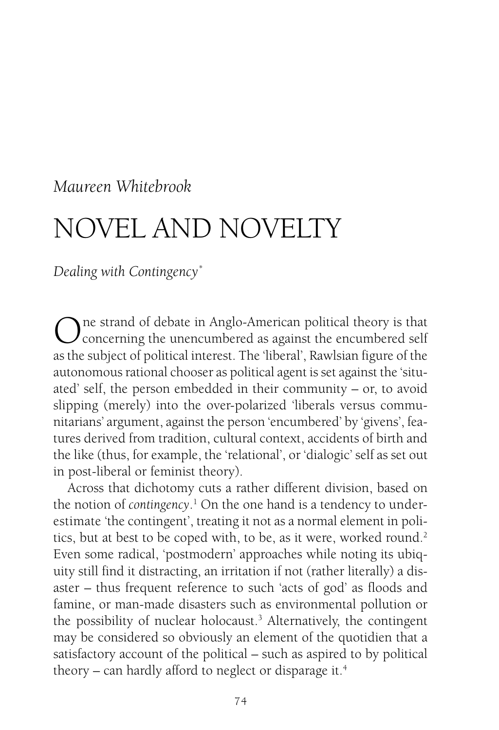*Maureen Whitebrook*

# NOVEL AND NOVELTY

*Dealing with Contingency\**

Ine strand of debate in Anglo-American political theory is that concerning the unencumbered as against the encumbered self as the subject of political interest. The 'liberal', Rawlsian figure of the autonomous rational chooser as political agent is set against the 'situated' self, the person embedded in their community – or, to avoid slipping (merely) into the over-polarized 'liberals versus communitarians' argument, against the person 'encumbered' by 'givens', features derived from tradition, cultural context, accidents of birth and the like (thus, for example, the 'relational', or 'dialogic' self as set out in post-liberal or feminist theory).

Across that dichotomy cuts a rather different division, based on the notion of *contingency*.<sup>1</sup> On the one hand is a tendency to underestimate 'the contingent', treating it not as a normal element in politics, but at best to be coped with, to be, as it were, worked round.<sup>2</sup> Even some radical, 'postmodern' approaches while noting its ubiquity still find it distracting, an irritation if not (rather literally) a disaster – thus frequent reference to such 'acts of god' as floods and famine, or man-made disasters such as environmental pollution or the possibility of nuclear holocaust.<sup>3</sup> Alternatively, the contingent may be considered so obviously an element of the quotidien that a satisfactory account of the political – such as aspired to by political theory – can hardly afford to neglect or disparage it.<sup>4</sup>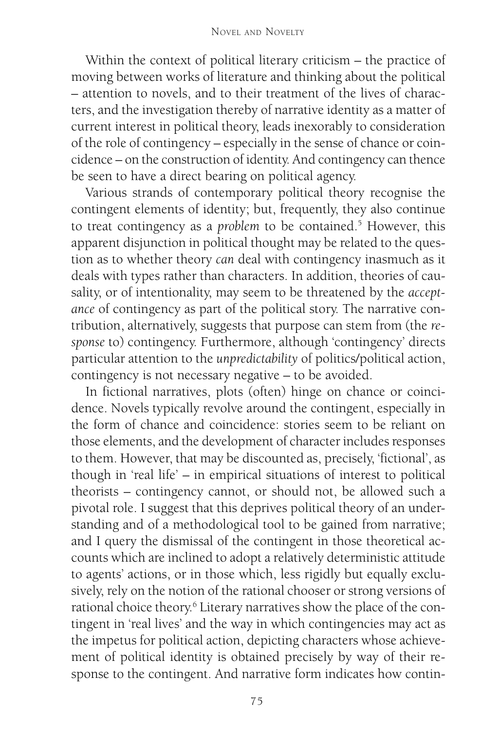Within the context of political literary criticism – the practice of moving between works of literature and thinking about the political – attention to novels, and to their treatment of the lives of characters, and the investigation thereby of narrative identity as a matter of current interest in political theory, leads inexorably to consideration of the role of contingency – especially in the sense of chance or coincidence – on the construction of identity. And contingency can thence be seen to have a direct bearing on political agency.

Various strands of contemporary political theory recognise the contingent elements of identity; but, frequently, they also continue to treat contingency as a *problem* to be contained.5 However, this apparent disjunction in political thought may be related to the question as to whether theory *can* deal with contingency inasmuch as it deals with types rather than characters. In addition, theories of causality, or of intentionality, may seem to be threatened by the *acceptance* of contingency as part of the political story. The narrative contribution, alternatively, suggests that purpose can stem from (the *response* to) contingency. Furthermore, although 'contingency' directs particular attention to the *unpredictability* of politics/political action, contingency is not necessary negative – to be avoided.

In fictional narratives, plots (often) hinge on chance or coincidence. Novels typically revolve around the contingent, especially in the form of chance and coincidence: stories seem to be reliant on those elements, and the development of character includes responses to them. However, that may be discounted as, precisely, 'fictional', as though in 'real life' – in empirical situations of interest to political theorists – contingency cannot, or should not, be allowed such a pivotal role. I suggest that this deprives political theory of an understanding and of a methodological tool to be gained from narrative; and I query the dismissal of the contingent in those theoretical accounts which are inclined to adopt a relatively deterministic attitude to agents' actions, or in those which, less rigidly but equally exclusively, rely on the notion of the rational chooser or strong versions of rational choice theory.<sup>6</sup> Literary narratives show the place of the contingent in 'real lives' and the way in which contingencies may act as the impetus for political action, depicting characters whose achievement of political identity is obtained precisely by way of their response to the contingent. And narrative form indicates how contin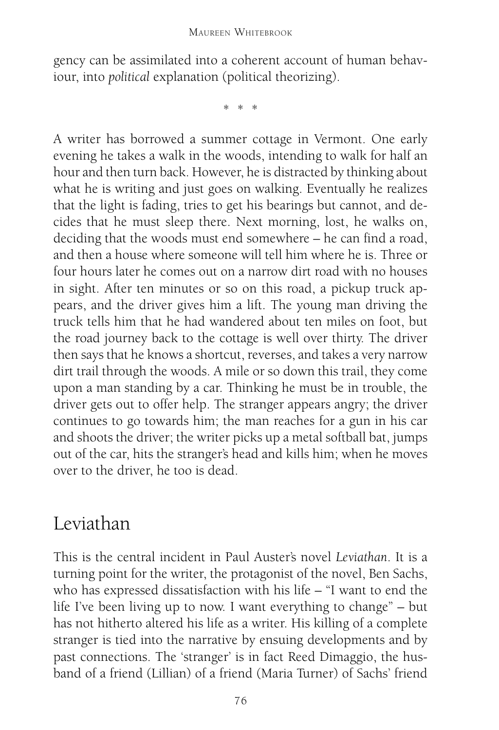gency can be assimilated into a coherent account of human behaviour, into *political* explanation (political theorizing).

\* \* \*

A writer has borrowed a summer cottage in Vermont. One early evening he takes a walk in the woods, intending to walk for half an hour and then turn back. However, he is distracted by thinking about what he is writing and just goes on walking. Eventually he realizes that the light is fading, tries to get his bearings but cannot, and decides that he must sleep there. Next morning, lost, he walks on, deciding that the woods must end somewhere – he can find a road, and then a house where someone will tell him where he is. Three or four hours later he comes out on a narrow dirt road with no houses in sight. After ten minutes or so on this road, a pickup truck appears, and the driver gives him a lift. The young man driving the truck tells him that he had wandered about ten miles on foot, but the road journey back to the cottage is well over thirty. The driver then says that he knows a shortcut, reverses, and takes a very narrow dirt trail through the woods. A mile or so down this trail, they come upon a man standing by a car. Thinking he must be in trouble, the driver gets out to offer help. The stranger appears angry; the driver continues to go towards him; the man reaches for a gun in his car and shoots the driver; the writer picks up a metal softball bat, jumps out of the car, hits the stranger's head and kills him; when he moves over to the driver, he too is dead.

#### Leviathan

This is the central incident in Paul Auster's novel *Leviathan*. It is a turning point for the writer, the protagonist of the novel, Ben Sachs, who has expressed dissatisfaction with his life – "I want to end the life I've been living up to now. I want everything to change" – but has not hitherto altered his life as a writer. His killing of a complete stranger is tied into the narrative by ensuing developments and by past connections. The 'stranger' is in fact Reed Dimaggio, the husband of a friend (Lillian) of a friend (Maria Turner) of Sachs' friend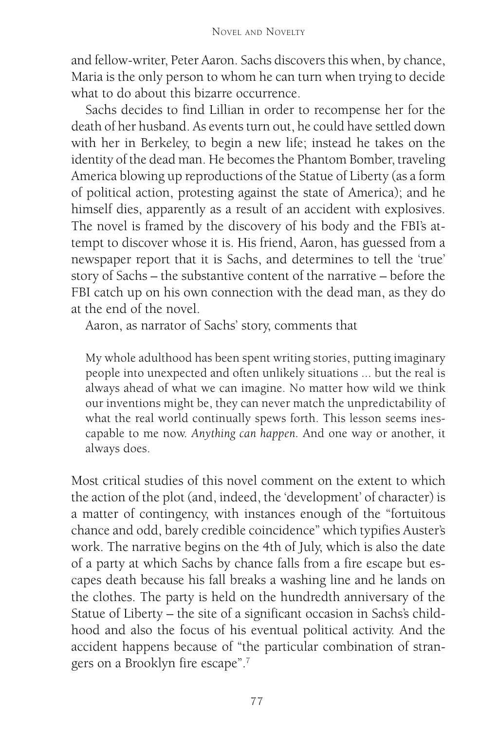and fellow-writer, Peter Aaron. Sachs discovers this when, by chance, Maria is the only person to whom he can turn when trying to decide what to do about this bizarre occurrence.

Sachs decides to find Lillian in order to recompense her for the death of her husband. As events turn out, he could have settled down with her in Berkeley, to begin a new life; instead he takes on the identity of the dead man. He becomes the Phantom Bomber, traveling America blowing up reproductions of the Statue of Liberty (as a form of political action, protesting against the state of America); and he himself dies, apparently as a result of an accident with explosives. The novel is framed by the discovery of his body and the FBI's attempt to discover whose it is. His friend, Aaron, has guessed from a newspaper report that it is Sachs, and determines to tell the 'true' story of Sachs – the substantive content of the narrative – before the FBI catch up on his own connection with the dead man, as they do at the end of the novel.

Aaron, as narrator of Sachs' story, comments that

My whole adulthood has been spent writing stories, putting imaginary people into unexpected and often unlikely situations ... but the real is always ahead of what we can imagine. No matter how wild we think our inventions might be, they can never match the unpredictability of what the real world continually spews forth. This lesson seems inescapable to me now. *Anything can happen.* And one way or another, it always does.

Most critical studies of this novel comment on the extent to which the action of the plot (and, indeed, the 'development' of character) is a matter of contingency, with instances enough of the "fortuitous chance and odd, barely credible coincidence" which typifies Auster's work. The narrative begins on the 4th of July, which is also the date of a party at which Sachs by chance falls from a fire escape but escapes death because his fall breaks a washing line and he lands on the clothes. The party is held on the hundredth anniversary of the Statue of Liberty – the site of a significant occasion in Sachs's childhood and also the focus of his eventual political activity. And the accident happens because of "the particular combination of strangers on a Brooklyn fire escape".7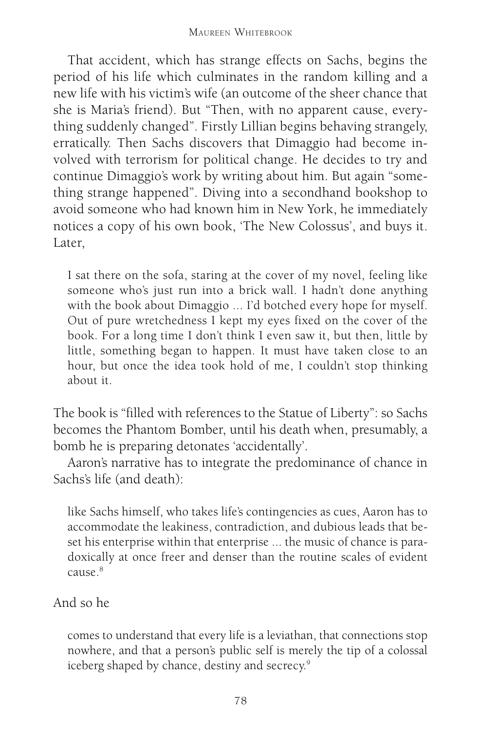That accident, which has strange effects on Sachs, begins the period of his life which culminates in the random killing and a new life with his victim's wife (an outcome of the sheer chance that she is Maria's friend). But "Then, with no apparent cause, everything suddenly changed". Firstly Lillian begins behaving strangely, erratically. Then Sachs discovers that Dimaggio had become involved with terrorism for political change. He decides to try and continue Dimaggio's work by writing about him. But again "something strange happened". Diving into a secondhand bookshop to avoid someone who had known him in New York, he immediately notices a copy of his own book, 'The New Colossus', and buys it. Later,

I sat there on the sofa, staring at the cover of my novel, feeling like someone who's just run into a brick wall. I hadn't done anything with the book about Dimaggio ... I'd botched every hope for myself. Out of pure wretchedness I kept my eyes fixed on the cover of the book. For a long time I don't think I even saw it, but then, little by little, something began to happen. It must have taken close to an hour, but once the idea took hold of me, I couldn't stop thinking about it.

The book is "filled with references to the Statue of Liberty": so Sachs becomes the Phantom Bomber, until his death when, presumably, a bomb he is preparing detonates 'accidentally'.

Aaron's narrative has to integrate the predominance of chance in Sachs's life (and death):

like Sachs himself, who takes life's contingencies as cues, Aaron has to accommodate the leakiness, contradiction, and dubious leads that beset his enterprise within that enterprise ... the music of chance is paradoxically at once freer and denser than the routine scales of evident  $c$ ause $8$ 

And so he

comes to understand that every life is a leviathan, that connections stop nowhere, and that a person's public self is merely the tip of a colossal iceberg shaped by chance, destiny and secrecy.<sup>9</sup>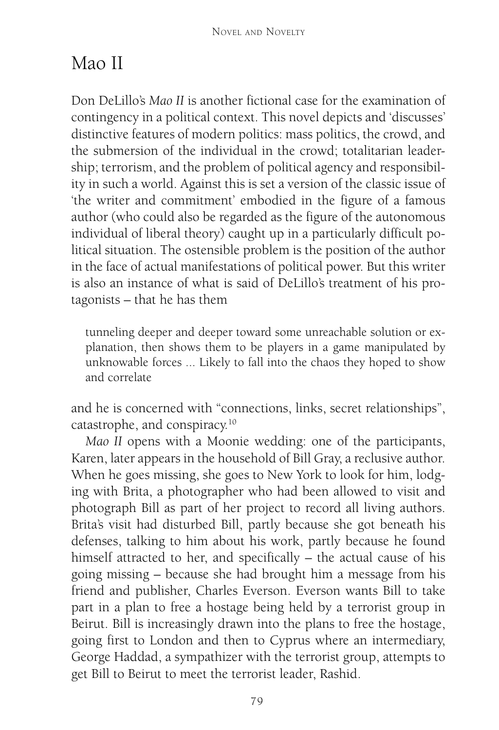## Mao II

Don DeLillo's *Mao II* is another fictional case for the examination of contingency in a political context. This novel depicts and 'discusses' distinctive features of modern politics: mass politics, the crowd, and the submersion of the individual in the crowd; totalitarian leadership; terrorism, and the problem of political agency and responsibility in such a world. Against this is set a version of the classic issue of 'the writer and commitment' embodied in the figure of a famous author (who could also be regarded as the figure of the autonomous individual of liberal theory) caught up in a particularly difficult political situation. The ostensible problem is the position of the author in the face of actual manifestations of political power. But this writer is also an instance of what is said of DeLillo's treatment of his protagonists – that he has them

tunneling deeper and deeper toward some unreachable solution or explanation, then shows them to be players in a game manipulated by unknowable forces ... Likely to fall into the chaos they hoped to show and correlate

and he is concerned with "connections, links, secret relationships", catastrophe, and conspiracy.10

*Mao II* opens with a Moonie wedding: one of the participants, Karen, later appears in the household of Bill Gray, a reclusive author. When he goes missing, she goes to New York to look for him, lodging with Brita, a photographer who had been allowed to visit and photograph Bill as part of her project to record all living authors. Brita's visit had disturbed Bill, partly because she got beneath his defenses, talking to him about his work, partly because he found himself attracted to her, and specifically – the actual cause of his going missing – because she had brought him a message from his friend and publisher, Charles Everson. Everson wants Bill to take part in a plan to free a hostage being held by a terrorist group in Beirut. Bill is increasingly drawn into the plans to free the hostage, going first to London and then to Cyprus where an intermediary, George Haddad, a sympathizer with the terrorist group, attempts to get Bill to Beirut to meet the terrorist leader, Rashid.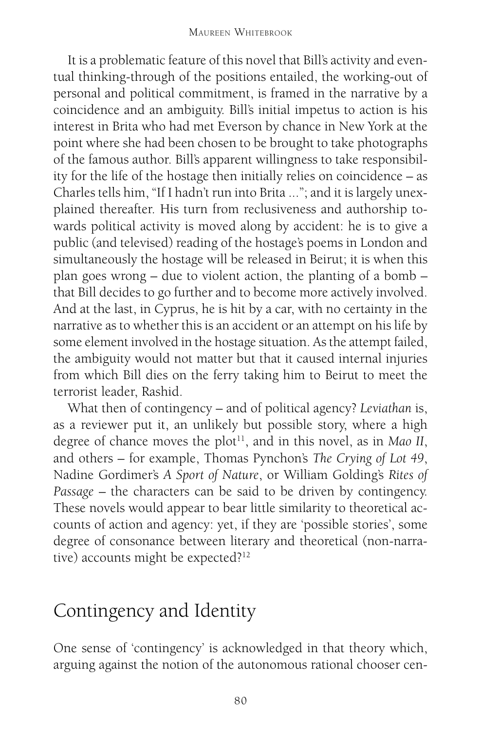It is a problematic feature of this novel that Bill's activity and eventual thinking-through of the positions entailed, the working-out of personal and political commitment, is framed in the narrative by a coincidence and an ambiguity. Bill's initial impetus to action is his interest in Brita who had met Everson by chance in New York at the point where she had been chosen to be brought to take photographs of the famous author. Bill's apparent willingness to take responsibility for the life of the hostage then initially relies on coincidence – as Charles tells him, "If I hadn't run into Brita ..."; and it is largely unexplained thereafter. His turn from reclusiveness and authorship towards political activity is moved along by accident: he is to give a public (and televised) reading of the hostage's poems in London and simultaneously the hostage will be released in Beirut; it is when this plan goes wrong – due to violent action, the planting of a bomb – that Bill decides to go further and to become more actively involved. And at the last, in Cyprus, he is hit by a car, with no certainty in the narrative as to whether this is an accident or an attempt on his life by some element involved in the hostage situation. As the attempt failed, the ambiguity would not matter but that it caused internal injuries from which Bill dies on the ferry taking him to Beirut to meet the terrorist leader, Rashid.

What then of contingency – and of political agency? *Leviathan* is, as a reviewer put it, an unlikely but possible story, where a high degree of chance moves the plot<sup>11</sup>, and in this novel, as in *Mao II*, and others – for example, Thomas Pynchon's *The Crying of Lot 49*, Nadine Gordimer's *A Sport of Nature*, or William Golding's *Rites of Passage* – the characters can be said to be driven by contingency. These novels would appear to bear little similarity to theoretical accounts of action and agency: yet, if they are 'possible stories', some degree of consonance between literary and theoretical (non-narrative) accounts might be expected?12

## Contingency and Identity

One sense of 'contingency' is acknowledged in that theory which, arguing against the notion of the autonomous rational chooser cen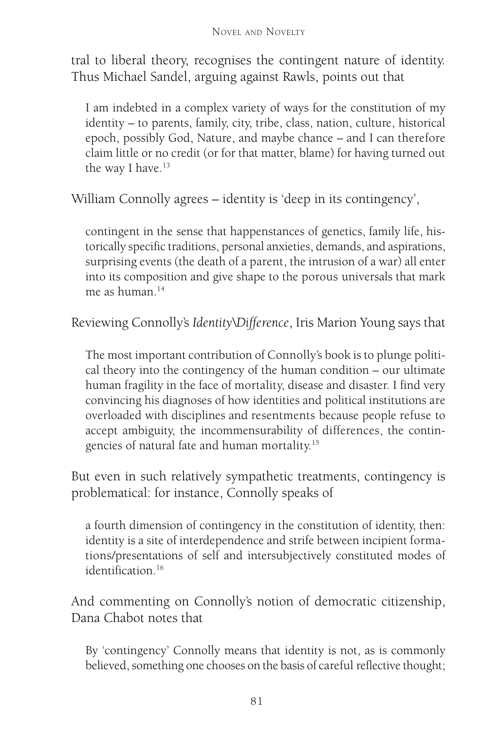tral to liberal theory, recognises the contingent nature of identity. Thus Michael Sandel, arguing against Rawls, points out that

I am indebted in a complex variety of ways for the constitution of my identity – to parents, family, city, tribe, class, nation, culture, historical epoch, possibly God, Nature, and maybe chance – and I can therefore claim little or no credit (or for that matter, blame) for having turned out the way I have.<sup>13</sup>

William Connolly agrees – identity is 'deep in its contingency',

contingent in the sense that happenstances of genetics, family life, historically specific traditions, personal anxieties, demands, and aspirations, surprising events (the death of a parent, the intrusion of a war) all enter into its composition and give shape to the porous universals that mark me as human.14

Reviewing Connolly's *Identity\Difference*, Iris Marion Young says that

The most important contribution of Connolly's book is to plunge political theory into the contingency of the human condition – our ultimate human fragility in the face of mortality, disease and disaster. I find very convincing his diagnoses of how identities and political institutions are overloaded with disciplines and resentments because people refuse to accept ambiguity, the incommensurability of differences, the contingencies of natural fate and human mortality.15

But even in such relatively sympathetic treatments, contingency is problematical: for instance, Connolly speaks of

a fourth dimension of contingency in the constitution of identity, then: identity is a site of interdependence and strife between incipient formations/presentations of self and intersubjectively constituted modes of identification<sup>16</sup>

And commenting on Connolly's notion of democratic citizenship, Dana Chabot notes that

By 'contingency' Connolly means that identity is not, as is commonly believed, something one chooses on the basis of careful reflective thought;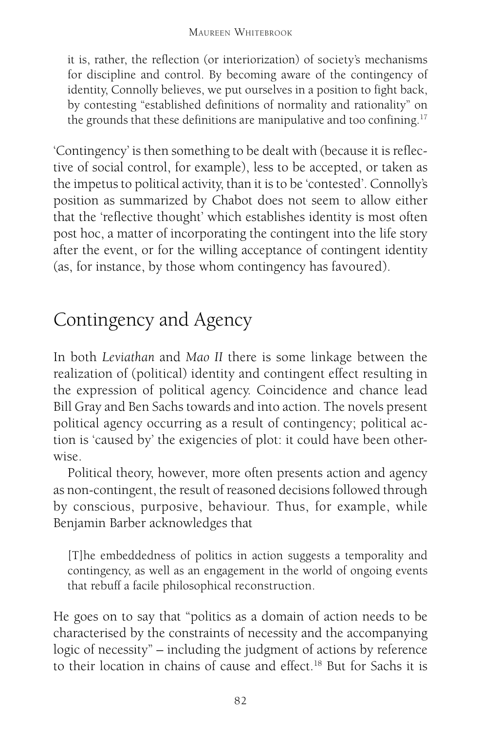it is, rather, the reflection (or interiorization) of society's mechanisms for discipline and control. By becoming aware of the contingency of identity, Connolly believes, we put ourselves in a position to fight back, by contesting "established definitions of normality and rationality" on the grounds that these definitions are manipulative and too confining.17

'Contingency' is then something to be dealt with (because it is reflective of social control, for example), less to be accepted, or taken as the impetus to political activity, than it is to be 'contested'. Connolly's position as summarized by Chabot does not seem to allow either that the 'reflective thought' which establishes identity is most often post hoc, a matter of incorporating the contingent into the life story after the event, or for the willing acceptance of contingent identity (as, for instance, by those whom contingency has favoured).

# Contingency and Agency

In both *Leviathan* and *Mao II* there is some linkage between the realization of (political) identity and contingent effect resulting in the expression of political agency. Coincidence and chance lead Bill Gray and Ben Sachs towards and into action. The novels present political agency occurring as a result of contingency; political action is 'caused by' the exigencies of plot: it could have been otherwise.

Political theory, however, more often presents action and agency as non-contingent, the result of reasoned decisions followed through by conscious, purposive, behaviour. Thus, for example, while Benjamin Barber acknowledges that

[T]he embeddedness of politics in action suggests a temporality and contingency, as well as an engagement in the world of ongoing events that rebuff a facile philosophical reconstruction.

He goes on to say that "politics as a domain of action needs to be characterised by the constraints of necessity and the accompanying logic of necessity" – including the judgment of actions by reference to their location in chains of cause and effect.18 But for Sachs it is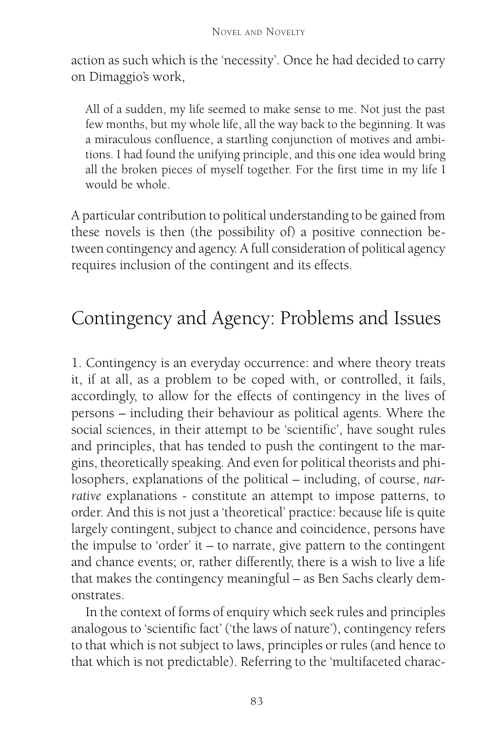action as such which is the 'necessity'. Once he had decided to carry on Dimaggio's work,

All of a sudden, my life seemed to make sense to me. Not just the past few months, but my whole life, all the way back to the beginning. It was a miraculous confluence, a startling conjunction of motives and ambitions. I had found the unifying principle, and this one idea would bring all the broken pieces of myself together. For the first time in my life I would be whole.

A particular contribution to political understanding to be gained from these novels is then (the possibility of) a positive connection between contingency and agency. A full consideration of political agency requires inclusion of the contingent and its effects.

## Contingency and Agency: Problems and Issues

1. Contingency is an everyday occurrence: and where theory treats it, if at all, as a problem to be coped with, or controlled, it fails, accordingly, to allow for the effects of contingency in the lives of persons – including their behaviour as political agents. Where the social sciences, in their attempt to be 'scientific', have sought rules and principles, that has tended to push the contingent to the margins, theoretically speaking. And even for political theorists and philosophers, explanations of the political – including, of course, *narrative* explanations - constitute an attempt to impose patterns, to order. And this is not just a 'theoretical' practice: because life is quite largely contingent, subject to chance and coincidence, persons have the impulse to 'order' it – to narrate, give pattern to the contingent and chance events; or, rather differently, there is a wish to live a life that makes the contingency meaningful – as Ben Sachs clearly demonstrates.

In the context of forms of enquiry which seek rules and principles analogous to 'scientific fact' ('the laws of nature'), contingency refers to that which is not subject to laws, principles or rules (and hence to that which is not predictable). Referring to the 'multifaceted charac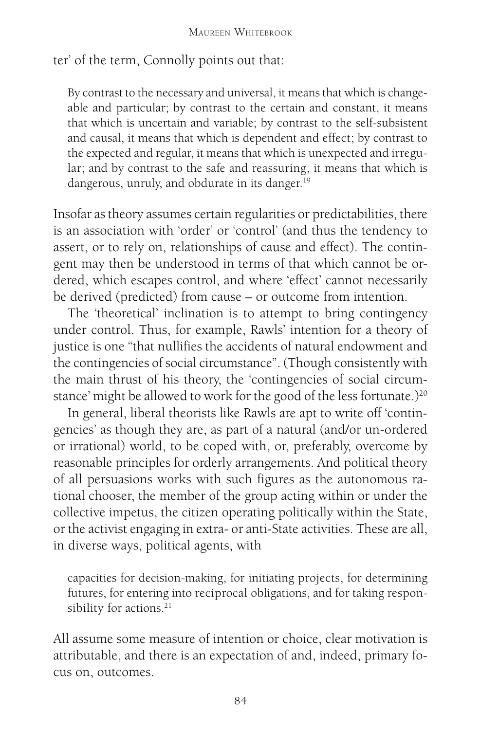ter' of the term, Connolly points out that:

By contrast to the necessary and universal, it means that which is changeable and particular; by contrast to the certain and constant, it means that which is uncertain and variable; by contrast to the self-subsistent and causal, it means that which is dependent and effect; by contrast to the expected and regular, it means that which is unexpected and irregular; and by contrast to the safe and reassuring, it means that which is dangerous, unruly, and obdurate in its danger.<sup>19</sup>

Insofar as theory assumes certain regularities or predictabilities, there is an association with 'order' or 'control' (and thus the tendency to assert, or to rely on, relationships of cause and effect). The contingent may then be understood in terms of that which cannot be ordered, which escapes control, and where 'effect' cannot necessarily be derived (predicted) from cause – or outcome from intention.

The 'theoretical' inclination is to attempt to bring contingency under control. Thus, for example, Rawls' intention for a theory of justice is one "that nullifies the accidents of natural endowment and the contingencies of social circumstance". (Though consistently with the main thrust of his theory, the 'contingencies of social circumstance' might be allowed to work for the good of the less fortunate.)<sup>20</sup>

In general, liberal theorists like Rawls are apt to write off 'contingencies' as though they are, as part of a natural (and/or un-ordered or irrational) world, to be coped with, or, preferably, overcome by reasonable principles for orderly arrangements. And political theory of all persuasions works with such figures as the autonomous rational chooser, the member of the group acting within or under the collective impetus, the citizen operating politically within the State, or the activist engaging in extra- or anti-State activities. These are all, in diverse ways, political agents, with

capacities for decision-making, for initiating projects, for determining futures, for entering into reciprocal obligations, and for taking responsibility for actions.<sup>21</sup>

All assume some measure of intention or choice, clear motivation is attributable, and there is an expectation of and, indeed, primary focus on, outcomes.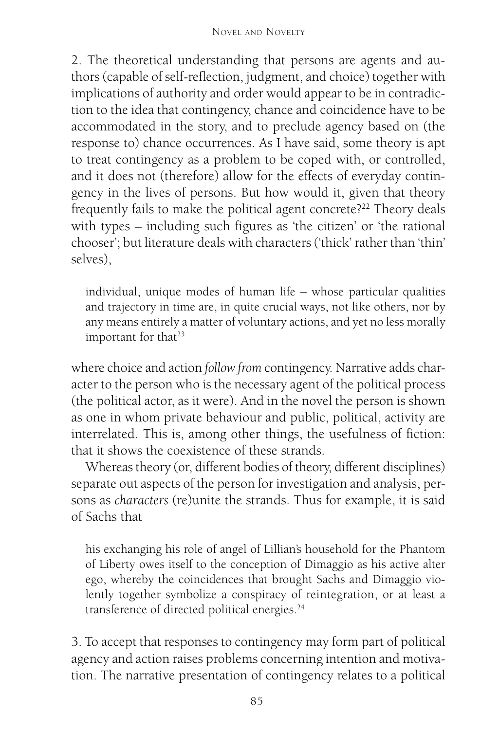2. The theoretical understanding that persons are agents and authors (capable of self-reflection, judgment, and choice) together with implications of authority and order would appear to be in contradiction to the idea that contingency, chance and coincidence have to be accommodated in the story, and to preclude agency based on (the response to) chance occurrences. As I have said, some theory is apt to treat contingency as a problem to be coped with, or controlled, and it does not (therefore) allow for the effects of everyday contingency in the lives of persons. But how would it, given that theory frequently fails to make the political agent concrete?<sup>22</sup> Theory deals with types – including such figures as 'the citizen' or 'the rational chooser'; but literature deals with characters ('thick' rather than 'thin' selves),

individual, unique modes of human life – whose particular qualities and trajectory in time are, in quite crucial ways, not like others, nor by any means entirely a matter of voluntary actions, and yet no less morally important for that $23$ 

where choice and action *follow from* contingency. Narrative adds character to the person who is the necessary agent of the political process (the political actor, as it were). And in the novel the person is shown as one in whom private behaviour and public, political, activity are interrelated. This is, among other things, the usefulness of fiction: that it shows the coexistence of these strands.

Whereas theory (or, different bodies of theory, different disciplines) separate out aspects of the person for investigation and analysis, persons as *characters* (re)unite the strands. Thus for example, it is said of Sachs that

his exchanging his role of angel of Lillian's household for the Phantom of Liberty owes itself to the conception of Dimaggio as his active alter ego, whereby the coincidences that brought Sachs and Dimaggio violently together symbolize a conspiracy of reintegration, or at least a transference of directed political energies.<sup>24</sup>

3. To accept that responses to contingency may form part of political agency and action raises problems concerning intention and motivation. The narrative presentation of contingency relates to a political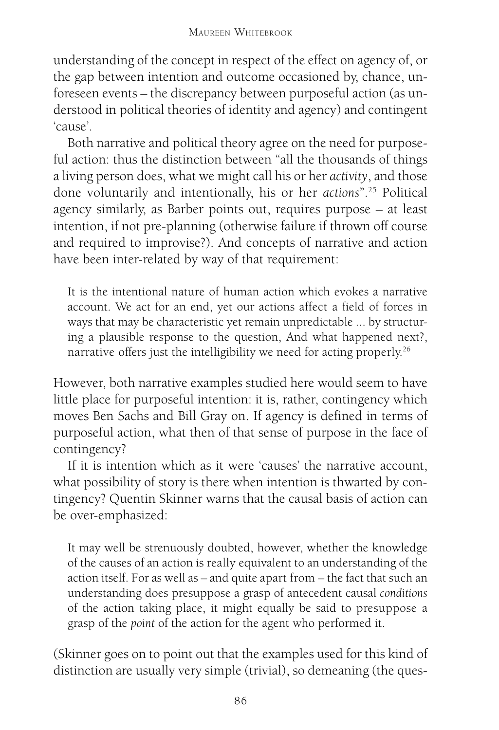understanding of the concept in respect of the effect on agency of, or the gap between intention and outcome occasioned by, chance, unforeseen events – the discrepancy between purposeful action (as understood in political theories of identity and agency) and contingent 'cause'.

Both narrative and political theory agree on the need for purposeful action: thus the distinction between "all the thousands of things a living person does, what we might call his or her *activity*, and those done voluntarily and intentionally, his or her *actions*".25 Political agency similarly, as Barber points out, requires purpose – at least intention, if not pre-planning (otherwise failure if thrown off course and required to improvise?). And concepts of narrative and action have been inter-related by way of that requirement:

It is the intentional nature of human action which evokes a narrative account. We act for an end, yet our actions affect a field of forces in ways that may be characteristic yet remain unpredictable ... by structuring a plausible response to the question, And what happened next?, narrative offers just the intelligibility we need for acting properly.<sup>26</sup>

However, both narrative examples studied here would seem to have little place for purposeful intention: it is, rather, contingency which moves Ben Sachs and Bill Gray on. If agency is defined in terms of purposeful action, what then of that sense of purpose in the face of contingency?

If it is intention which as it were 'causes' the narrative account, what possibility of story is there when intention is thwarted by contingency? Quentin Skinner warns that the causal basis of action can be over-emphasized:

It may well be strenuously doubted, however, whether the knowledge of the causes of an action is really equivalent to an understanding of the action itself. For as well as – and quite apart from – the fact that such an understanding does presuppose a grasp of antecedent causal *conditions* of the action taking place, it might equally be said to presuppose a grasp of the *point* of the action for the agent who performed it.

(Skinner goes on to point out that the examples used for this kind of distinction are usually very simple (trivial), so demeaning (the ques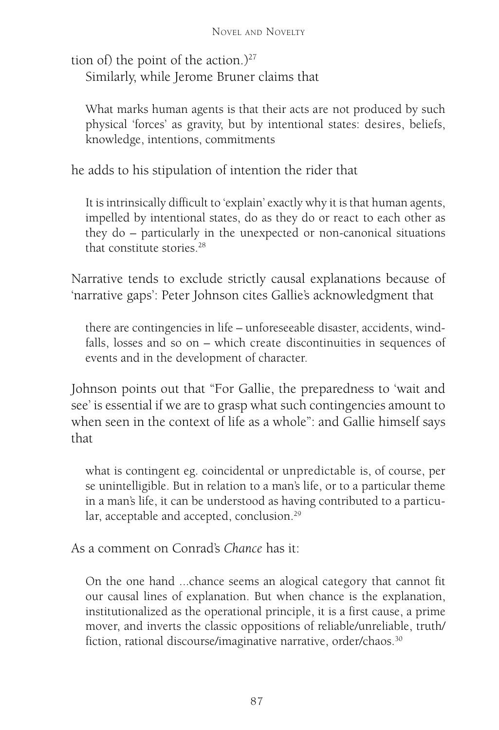tion of) the point of the action.) $27$ Similarly, while Jerome Bruner claims that

What marks human agents is that their acts are not produced by such physical 'forces' as gravity, but by intentional states: desires, beliefs, knowledge, intentions, commitments

he adds to his stipulation of intention the rider that

It is intrinsically difficult to 'explain' exactly why it is that human agents, impelled by intentional states, do as they do or react to each other as they do – particularly in the unexpected or non-canonical situations that constitute stories.28

Narrative tends to exclude strictly causal explanations because of 'narrative gaps': Peter Johnson cites Gallie's acknowledgment that

there are contingencies in life – unforeseeable disaster, accidents, windfalls, losses and so on – which create discontinuities in sequences of events and in the development of character.

Johnson points out that "For Gallie, the preparedness to 'wait and see' is essential if we are to grasp what such contingencies amount to when seen in the context of life as a whole": and Gallie himself says that

what is contingent eg. coincidental or unpredictable is, of course, per se unintelligible. But in relation to a man's life, or to a particular theme in a man's life, it can be understood as having contributed to a particular, acceptable and accepted, conclusion.<sup>29</sup>

As a comment on Conrad's *Chance* has it:

On the one hand ...chance seems an alogical category that cannot fit our causal lines of explanation. But when chance is the explanation, institutionalized as the operational principle, it is a first cause, a prime mover, and inverts the classic oppositions of reliable/unreliable, truth/ fiction, rational discourse/imaginative narrative, order/chaos.<sup>30</sup>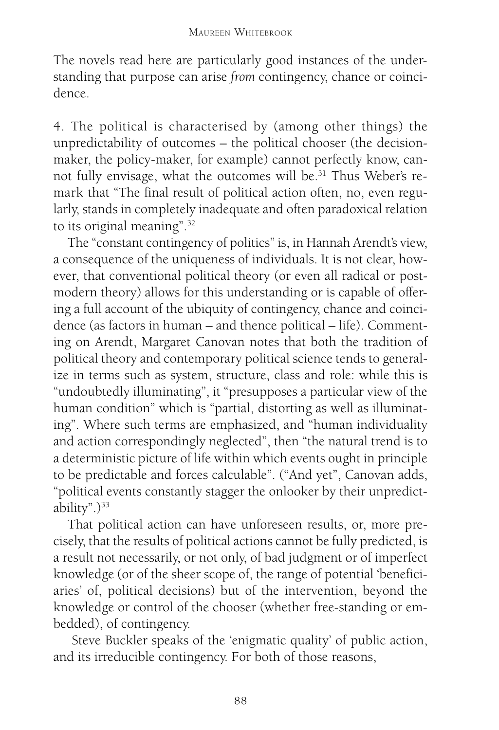The novels read here are particularly good instances of the understanding that purpose can arise *from* contingency, chance or coincidence.

4. The political is characterised by (among other things) the unpredictability of outcomes – the political chooser (the decisionmaker, the policy-maker, for example) cannot perfectly know, cannot fully envisage, what the outcomes will be.<sup>31</sup> Thus Weber's remark that "The final result of political action often, no, even regularly, stands in completely inadequate and often paradoxical relation to its original meaning".32

The "constant contingency of politics" is, in Hannah Arendt's view, a consequence of the uniqueness of individuals. It is not clear, however, that conventional political theory (or even all radical or postmodern theory) allows for this understanding or is capable of offering a full account of the ubiquity of contingency, chance and coincidence (as factors in human – and thence political – life). Commenting on Arendt, Margaret Canovan notes that both the tradition of political theory and contemporary political science tends to generalize in terms such as system, structure, class and role: while this is "undoubtedly illuminating", it "presupposes a particular view of the human condition" which is "partial, distorting as well as illuminating". Where such terms are emphasized, and "human individuality and action correspondingly neglected", then "the natural trend is to a deterministic picture of life within which events ought in principle to be predictable and forces calculable". ("And yet", Canovan adds, "political events constantly stagger the onlooker by their unpredictability".)<sup>33</sup>

That political action can have unforeseen results, or, more precisely, that the results of political actions cannot be fully predicted, is a result not necessarily, or not only, of bad judgment or of imperfect knowledge (or of the sheer scope of, the range of potential 'beneficiaries' of, political decisions) but of the intervention, beyond the knowledge or control of the chooser (whether free-standing or embedded), of contingency.

 Steve Buckler speaks of the 'enigmatic quality' of public action, and its irreducible contingency. For both of those reasons,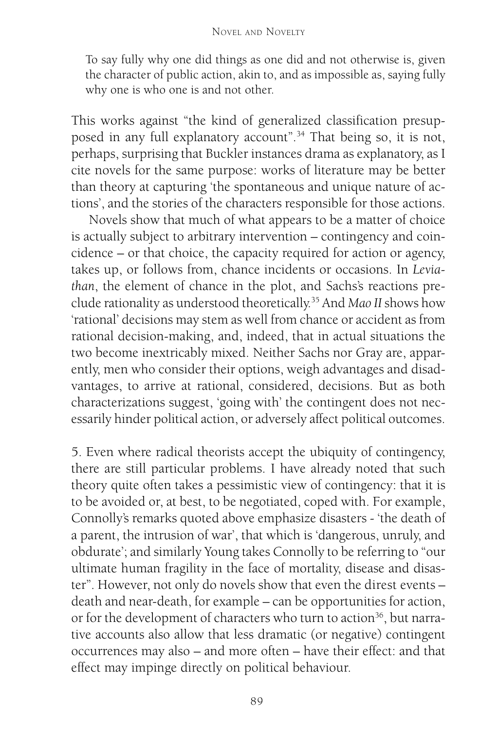To say fully why one did things as one did and not otherwise is, given the character of public action, akin to, and as impossible as, saying fully why one is who one is and not other.

This works against "the kind of generalized classification presupposed in any full explanatory account".<sup>34</sup> That being so, it is not, perhaps, surprising that Buckler instances drama as explanatory, as I cite novels for the same purpose: works of literature may be better than theory at capturing 'the spontaneous and unique nature of actions', and the stories of the characters responsible for those actions.

 Novels show that much of what appears to be a matter of choice is actually subject to arbitrary intervention – contingency and coincidence – or that choice, the capacity required for action or agency, takes up, or follows from, chance incidents or occasions. In *Leviathan*, the element of chance in the plot, and Sachs's reactions preclude rationality as understood theoretically.35 And *Mao II* shows how 'rational' decisions may stem as well from chance or accident as from rational decision-making, and, indeed, that in actual situations the two become inextricably mixed. Neither Sachs nor Gray are, apparently, men who consider their options, weigh advantages and disadvantages, to arrive at rational, considered, decisions. But as both characterizations suggest, 'going with' the contingent does not necessarily hinder political action, or adversely affect political outcomes.

5. Even where radical theorists accept the ubiquity of contingency, there are still particular problems. I have already noted that such theory quite often takes a pessimistic view of contingency: that it is to be avoided or, at best, to be negotiated, coped with. For example, Connolly's remarks quoted above emphasize disasters - 'the death of a parent, the intrusion of war', that which is 'dangerous, unruly, and obdurate'; and similarly Young takes Connolly to be referring to "our ultimate human fragility in the face of mortality, disease and disaster". However, not only do novels show that even the direst events – death and near-death, for example – can be opportunities for action, or for the development of characters who turn to action<sup>36</sup>, but narrative accounts also allow that less dramatic (or negative) contingent occurrences may also – and more often – have their effect: and that effect may impinge directly on political behaviour.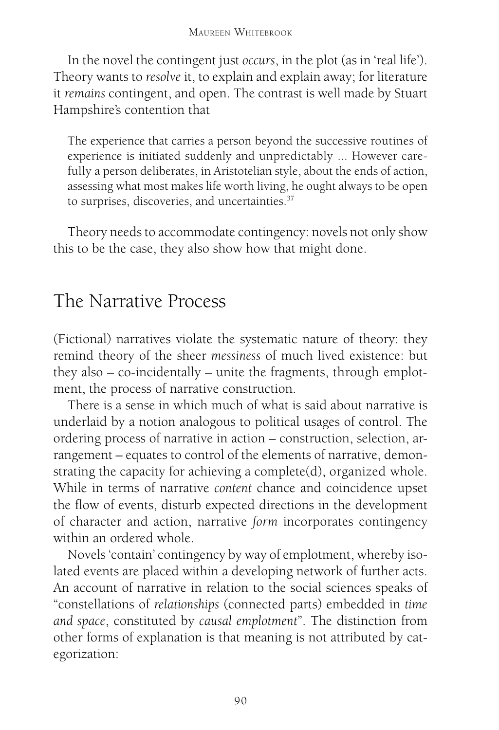In the novel the contingent just *occurs*, in the plot (as in 'real life'). Theory wants to *resolve* it, to explain and explain away; for literature it *remains* contingent, and open. The contrast is well made by Stuart Hampshire's contention that

The experience that carries a person beyond the successive routines of experience is initiated suddenly and unpredictably ... However carefully a person deliberates, in Aristotelian style, about the ends of action, assessing what most makes life worth living, he ought always to be open to surprises, discoveries, and uncertainties.37

Theory needs to accommodate contingency: novels not only show this to be the case, they also show how that might done.

### The Narrative Process

(Fictional) narratives violate the systematic nature of theory: they remind theory of the sheer *messiness* of much lived existence: but they also – co-incidentally – unite the fragments, through emplotment, the process of narrative construction.

There is a sense in which much of what is said about narrative is underlaid by a notion analogous to political usages of control. The ordering process of narrative in action – construction, selection, arrangement – equates to control of the elements of narrative, demonstrating the capacity for achieving a complete(d), organized whole. While in terms of narrative *content* chance and coincidence upset the flow of events, disturb expected directions in the development of character and action, narrative *form* incorporates contingency within an ordered whole.

Novels 'contain' contingency by way of emplotment, whereby isolated events are placed within a developing network of further acts. An account of narrative in relation to the social sciences speaks of "constellations of *relationships* (connected parts) embedded in *time and space*, constituted by *causal emplotment*". The distinction from other forms of explanation is that meaning is not attributed by categorization: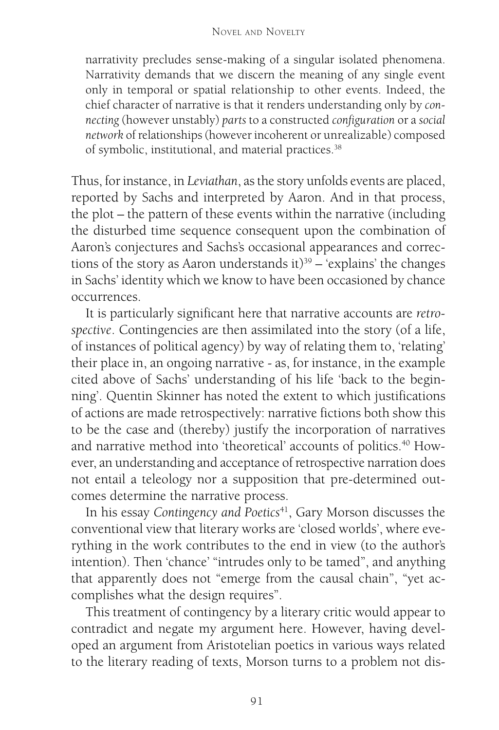narrativity precludes sense-making of a singular isolated phenomena. Narrativity demands that we discern the meaning of any single event only in temporal or spatial relationship to other events. Indeed, the chief character of narrative is that it renders understanding only by *connecting* (however unstably) *parts* to a constructed *configuration* or a *social network* of relationships (however incoherent or unrealizable) composed of symbolic, institutional, and material practices.<sup>38</sup>

Thus, for instance, in *Leviathan*, as the story unfolds events are placed, reported by Sachs and interpreted by Aaron. And in that process, the plot – the pattern of these events within the narrative (including the disturbed time sequence consequent upon the combination of Aaron's conjectures and Sachs's occasional appearances and corrections of the story as Aaron understands it) $39 - 6$  explains' the changes in Sachs' identity which we know to have been occasioned by chance occurrences.

It is particularly significant here that narrative accounts are *retrospective*. Contingencies are then assimilated into the story (of a life, of instances of political agency) by way of relating them to, 'relating' their place in, an ongoing narrative - as, for instance, in the example cited above of Sachs' understanding of his life 'back to the beginning'. Quentin Skinner has noted the extent to which justifications of actions are made retrospectively: narrative fictions both show this to be the case and (thereby) justify the incorporation of narratives and narrative method into 'theoretical' accounts of politics.<sup>40</sup> However, an understanding and acceptance of retrospective narration does not entail a teleology nor a supposition that pre-determined outcomes determine the narrative process.

In his essay *Contingency and Poetics*41, Gary Morson discusses the conventional view that literary works are 'closed worlds', where everything in the work contributes to the end in view (to the author's intention). Then 'chance' "intrudes only to be tamed", and anything that apparently does not "emerge from the causal chain", "yet accomplishes what the design requires".

This treatment of contingency by a literary critic would appear to contradict and negate my argument here. However, having developed an argument from Aristotelian poetics in various ways related to the literary reading of texts, Morson turns to a problem not dis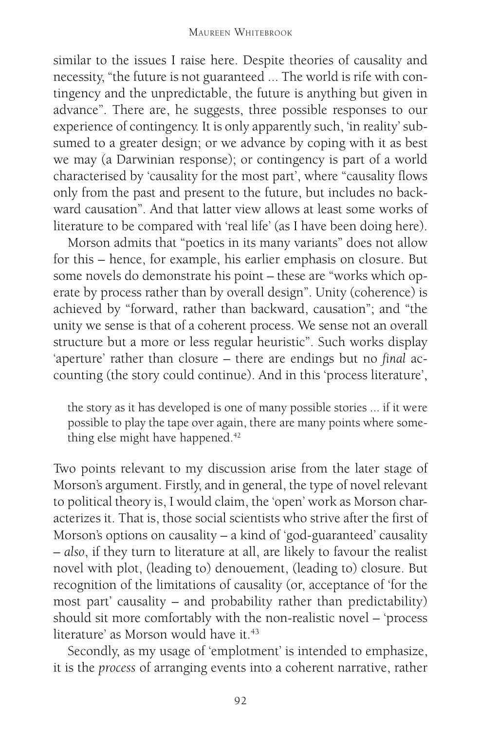similar to the issues I raise here. Despite theories of causality and necessity, "the future is not guaranteed ... The world is rife with contingency and the unpredictable, the future is anything but given in advance". There are, he suggests, three possible responses to our experience of contingency. It is only apparently such, 'in reality' subsumed to a greater design; or we advance by coping with it as best we may (a Darwinian response); or contingency is part of a world characterised by 'causality for the most part', where "causality flows only from the past and present to the future, but includes no backward causation". And that latter view allows at least some works of literature to be compared with 'real life' (as I have been doing here).

Morson admits that "poetics in its many variants" does not allow for this – hence, for example, his earlier emphasis on closure. But some novels do demonstrate his point – these are "works which operate by process rather than by overall design". Unity (coherence) is achieved by "forward, rather than backward, causation"; and "the unity we sense is that of a coherent process. We sense not an overall structure but a more or less regular heuristic". Such works display 'aperture' rather than closure – there are endings but no *final* accounting (the story could continue). And in this 'process literature',

the story as it has developed is one of many possible stories ... if it were possible to play the tape over again, there are many points where something else might have happened.<sup>42</sup>

Two points relevant to my discussion arise from the later stage of Morson's argument. Firstly, and in general, the type of novel relevant to political theory is, I would claim, the 'open' work as Morson characterizes it. That is, those social scientists who strive after the first of Morson's options on causality – a kind of 'god-guaranteed' causality – *also*, if they turn to literature at all, are likely to favour the realist novel with plot, (leading to) denouement, (leading to) closure. But recognition of the limitations of causality (or, acceptance of 'for the most part' causality – and probability rather than predictability) should sit more comfortably with the non-realistic novel – 'process literature' as Morson would have it.<sup>43</sup>

Secondly, as my usage of 'emplotment' is intended to emphasize, it is the *process* of arranging events into a coherent narrative, rather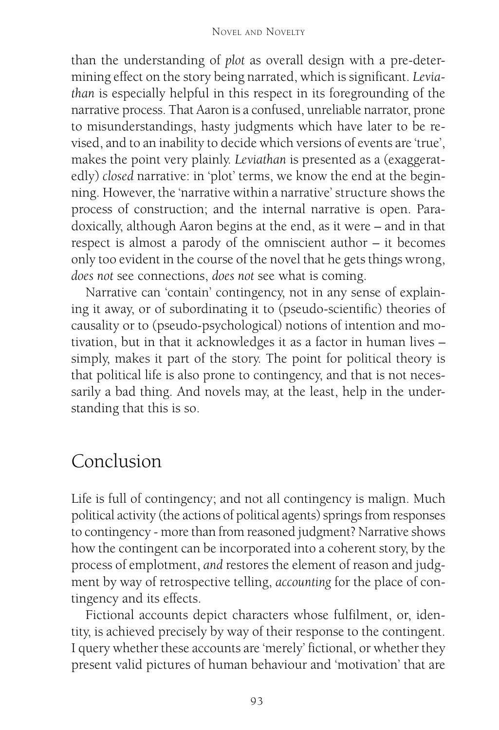than the understanding of *plot* as overall design with a pre-determining effect on the story being narrated, which is significant. *Leviathan* is especially helpful in this respect in its foregrounding of the narrative process. That Aaron is a confused, unreliable narrator, prone to misunderstandings, hasty judgments which have later to be revised, and to an inability to decide which versions of events are 'true', makes the point very plainly. *Leviathan* is presented as a (exaggeratedly) *closed* narrative: in 'plot' terms, we know the end at the beginning. However, the 'narrative within a narrative' structure shows the process of construction; and the internal narrative is open. Paradoxically, although Aaron begins at the end, as it were – and in that respect is almost a parody of the omniscient author – it becomes only too evident in the course of the novel that he gets things wrong, *does not* see connections, *does not* see what is coming.

Narrative can 'contain' contingency, not in any sense of explaining it away, or of subordinating it to (pseudo-scientific) theories of causality or to (pseudo-psychological) notions of intention and motivation, but in that it acknowledges it as a factor in human lives – simply, makes it part of the story. The point for political theory is that political life is also prone to contingency, and that is not necessarily a bad thing. And novels may, at the least, help in the understanding that this is so.

## Conclusion

Life is full of contingency; and not all contingency is malign. Much political activity (the actions of political agents) springs from responses to contingency - more than from reasoned judgment? Narrative shows how the contingent can be incorporated into a coherent story, by the process of emplotment, *and* restores the element of reason and judgment by way of retrospective telling, *accounting* for the place of contingency and its effects.

Fictional accounts depict characters whose fulfilment, or, identity, is achieved precisely by way of their response to the contingent. I query whether these accounts are 'merely' fictional, or whether they present valid pictures of human behaviour and 'motivation' that are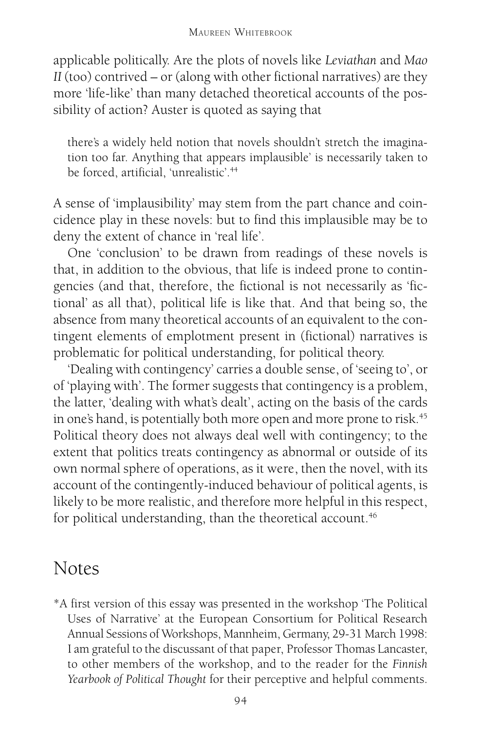applicable politically. Are the plots of novels like *Leviathan* and *Mao II* (too) contrived – or (along with other fictional narratives) are they more 'life-like' than many detached theoretical accounts of the possibility of action? Auster is quoted as saying that

there's a widely held notion that novels shouldn't stretch the imagination too far. Anything that appears implausible' is necessarily taken to be forced, artificial, 'unrealistic'.44

A sense of 'implausibility' may stem from the part chance and coincidence play in these novels: but to find this implausible may be to deny the extent of chance in 'real life'.

One 'conclusion' to be drawn from readings of these novels is that, in addition to the obvious, that life is indeed prone to contingencies (and that, therefore, the fictional is not necessarily as 'fictional' as all that), political life is like that. And that being so, the absence from many theoretical accounts of an equivalent to the contingent elements of emplotment present in (fictional) narratives is problematic for political understanding, for political theory.

'Dealing with contingency' carries a double sense, of 'seeing to', or of 'playing with'. The former suggests that contingency is a problem, the latter, 'dealing with what's dealt', acting on the basis of the cards in one's hand, is potentially both more open and more prone to risk.<sup>45</sup> Political theory does not always deal well with contingency; to the extent that politics treats contingency as abnormal or outside of its own normal sphere of operations, as it were, then the novel, with its account of the contingently-induced behaviour of political agents, is likely to be more realistic, and therefore more helpful in this respect, for political understanding, than the theoretical account.<sup>46</sup>

#### Notes

\*A first version of this essay was presented in the workshop 'The Political Uses of Narrative' at the European Consortium for Political Research Annual Sessions of Workshops, Mannheim, Germany, 29-31 March 1998: I am grateful to the discussant of that paper, Professor Thomas Lancaster, to other members of the workshop, and to the reader for the *Finnish Yearbook of Political Thought* for their perceptive and helpful comments.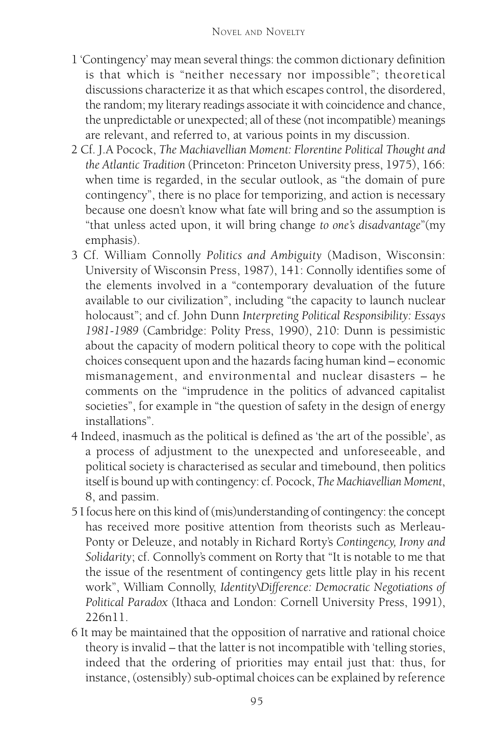- 1 'Contingency' may mean several things: the common dictionary definition is that which is "neither necessary nor impossible"; theoretical discussions characterize it as that which escapes control, the disordered, the random; my literary readings associate it with coincidence and chance, the unpredictable or unexpected; all of these (not incompatible) meanings are relevant, and referred to, at various points in my discussion.
- 2 Cf. J.A Pocock, *The Machiavellian Moment: Florentine Political Thought and the Atlantic Tradition* (Princeton: Princeton University press, 1975), 166: when time is regarded, in the secular outlook, as "the domain of pure contingency", there is no place for temporizing, and action is necessary because one doesn't know what fate will bring and so the assumption is "that unless acted upon, it will bring change *to one's disadvantage*"(my emphasis).
- 3 Cf. William Connolly *Politics and Ambiguity* (Madison, Wisconsin: University of Wisconsin Press, 1987), 141: Connolly identifies some of the elements involved in a "contemporary devaluation of the future available to our civilization", including "the capacity to launch nuclear holocaust"; and cf. John Dunn *Interpreting Political Responsibility: Essays 1981-1989* (Cambridge: Polity Press, 1990), 210: Dunn is pessimistic about the capacity of modern political theory to cope with the political choices consequent upon and the hazards facing human kind – economic mismanagement, and environmental and nuclear disasters – he comments on the "imprudence in the politics of advanced capitalist societies", for example in "the question of safety in the design of energy installations".
- 4 Indeed, inasmuch as the political is defined as 'the art of the possible', as a process of adjustment to the unexpected and unforeseeable, and political society is characterised as secular and timebound, then politics itself is bound up with contingency: cf. Pocock, *The Machiavellian Moment*, 8, and passim.
- 5 I focus here on this kind of (mis)understanding of contingency: the concept has received more positive attention from theorists such as Merleau-Ponty or Deleuze, and notably in Richard Rorty's *Contingency, Irony and Solidarity*; cf. Connolly's comment on Rorty that "It is notable to me that the issue of the resentment of contingency gets little play in his recent work", William Connolly, *Identity\Difference: Democratic Negotiations of Political Paradox* (Ithaca and London: Cornell University Press, 1991), 226n11.
- 6 It may be maintained that the opposition of narrative and rational choice theory is invalid – that the latter is not incompatible with 'telling stories, indeed that the ordering of priorities may entail just that: thus, for instance, (ostensibly) sub-optimal choices can be explained by reference